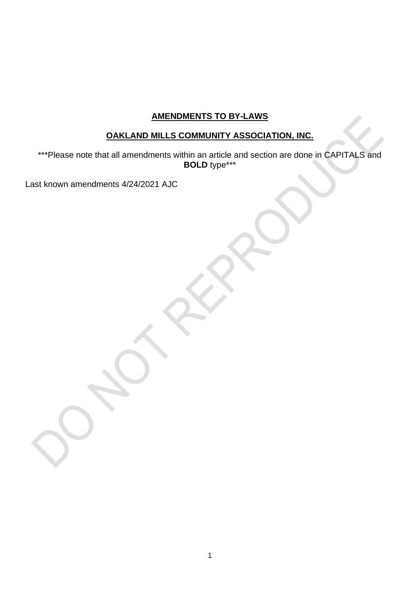## **AMENDMENTS TO BY-LAWS**

# **OAKLAND MILLS COMMUNITY ASSOCIATION, INC.**

\*\*\*Please note that all amendments within an article and section are done in CAPITALS and **BOLD** type\*\*\*

Last known amendments 4/24/2021 AJC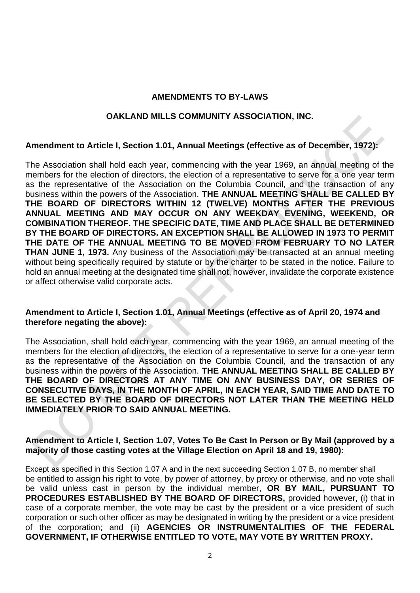### **AMENDMENTS TO BY-LAWS**

### **OAKLAND MILLS COMMUNITY ASSOCIATION, INC.**

### **Amendment to Article I, Section 1.01, Annual Meetings (effective as of December, 1972):**

The Association shall hold each year, commencing with the year 1969, an annual meeting of the members for the election of directors, the election of a representative to serve for a one year term as the representative of the Association on the Columbia Council, and the transaction of any business within the powers of the Association. **THE ANNUAL MEETING SHALL BE CALLED BY THE BOARD OF DIRECTORS WITHIN 12 (TWELVE) MONTHS AFTER THE PREVIOUS ANNUAL MEETING AND MAY OCCUR ON ANY WEEKDAY EVENING, WEEKEND, OR COMBINATION THEREOF. THE SPECIFIC DATE, TIME AND PLACE SHALL BE DETERMINED BY THE BOARD OF DIRECTORS. AN EXCEPTION SHALL BE ALLOWED IN 1973 TO PERMIT THE DATE OF THE ANNUAL MEETING TO BE MOVED FROM FEBRUARY TO NO LATER THAN JUNE 1, 1973.** Any business of the Association may be transacted at an annual meeting without being specifically required by statute or by the charter to be stated in the notice. Failure to hold an annual meeting at the designated time shall not, however, invalidate the corporate existence or affect otherwise valid corporate acts.

### **Amendment to Article I, Section 1.01, Annual Meetings (effective as of April 20, 1974 and therefore negating the above):**

The Association, shall hold each year, commencing with the year 1969, an annual meeting of the members for the election of directors, the election of a representative to serve for a one-year term as the representative of the Association on the Columbia Council, and the transaction of any business within the powers of the Association. **THE ANNUAL MEETING SHALL BE CALLED BY THE BOARD OF DIRECTORS AT ANY TIME ON ANY BUSINESS DAY, OR SERIES OF CONSECUTIVE DAYS, IN THE MONTH OF APRIL, IN EACH YEAR, SAID TIME AND DATE TO BE SELECTED BY THE BOARD OF DIRECTORS NOT LATER THAN THE MEETING HELD IMMEDIATELY PRIOR TO SAID ANNUAL MEETING.**

### **Amendment to Article I, Section 1.07, Votes To Be Cast In Person or By Mail (approved by a majority of those casting votes at the Village Election on April 18 and 19, 1980):**

Except as specified in this Section 1.07 A and in the next succeeding Section 1.07 B, no member shall be entitled to assign his right to vote, by power of attorney, by proxy or otherwise, and no vote shall be valid unless cast in person by the individual member, **OR BY MAIL, PURSUANT TO PROCEDURES ESTABLISHED BY THE BOARD OF DIRECTORS,** provided however, (i) that in case of a corporate member, the vote may be cast by the president or a vice president of such corporation or such other officer as may be designated in writing by the president or a vice president of the corporation; and (ii) **AGENCIES OR INSTRUMENTALITIES OF THE FEDERAL GOVERNMENT, IF OTHERWISE ENTITLED TO VOTE, MAY VOTE BY WRITTEN PROXY.**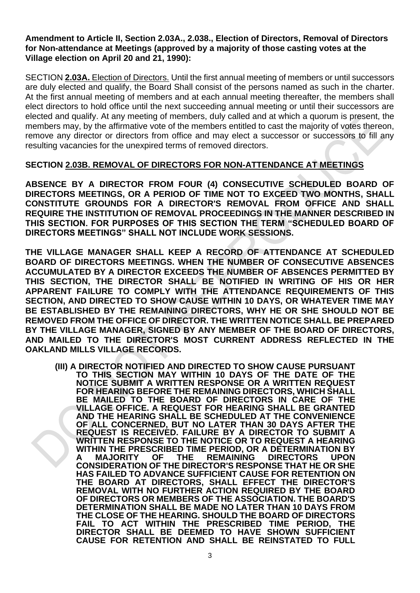**Amendment to Article II, Section 2.03A., 2.038., Election of Directors, Removal of Directors for Non-attendance at Meetings (approved by a majority of those casting votes at the Village election on April 20 and 21, 1990):**

SECTION **2.03A.** Election of Directors. Until the first annual meeting of members or until successors are duly elected and qualify, the Board Shall consist of the persons named as such in the charter. At the first annual meeting of members and at each annual meeting thereafter, the members shall elect directors to hold office until the next succeeding annual meeting or until their successors are elected and qualify. At any meeting of members, duly called and at which a quorum is present, the members may, by the affirmative vote of the members entitled to cast the majority of votes thereon, remove any director or directors from office and may elect a successor or successors to fill any resulting vacancies for the unexpired terms of removed directors.

### **SECTION 2.03B. REMOVAL OF DIRECTORS FOR NON-ATTENDANCE AT MEETINGS**

**ABSENCE BY A DIRECTOR FROM FOUR (4) CONSECUTIVE SCHEDULED BOARD OF DIRECTORS MEETINGS, OR A PERIOD OF TIME NOT TO EXCEED TWO MONTHS, SHALL CONSTITUTE GROUNDS FOR A DIRECTOR'S REMOVAL FROM OFFICE AND SHALL REQUIRE THE INSTITUTION OF REMOVAL PROCEEDINGS IN THE MANNER DESCRIBED IN THIS SECTION. FOR PURPOSES OF THIS SECTION THE TERM "SCHEDULED BOARD OF DIRECTORS MEETINGS" SHALL NOT INCLUDE WORK SESSIONS.**

**THE VILLAGE MANAGER SHALL KEEP A RECORD OF ATTENDANCE AT SCHEDULED BOARD OF DIRECTORS MEETINGS. WHEN THE NUMBER OF CONSECUTIVE ABSENCES ACCUMULATED BY A DIRECTOR EXCEEDS THE NUMBER OF ABSENCES PERMITTED BY THIS SECTION, THE DIRECTOR SHALL BE NOTIFIED IN WRITING OF HIS OR HER APPARENT FAILURE TO COMPLY WITH THE ATTENDANCE REQUIREMENTS OF THIS SECTION, AND DIRECTED TO SHOW CAUSE WITHIN 10 DAYS, OR WHATEVER TIME MAY BE ESTABLISHED BY THE REMAINING DIRECTORS, WHY HE OR SHE SHOULD NOT BE REMOVED FROM THE OFFICE OF DIRECTOR. THE WRITTEN NOTICE SHALL BE PREPARED BY THE VILLAGE MANAGER, SIGNED BY ANY MEMBER OF THE BOARD OF DIRECTORS, AND MAILED TO THE DIRECTOR'S MOST CURRENT ADDRESS REFLECTED IN THE OAKLAND MILLS VILLAGE RECORDS.**

**(III) A DIRECTOR NOTIFIED AND DIRECTED TO SHOW CAUSE PURSUANT TO THIS SECTION MAY WITHIN 10 DAYS OF THE DATE OF THE NOTICE SUBMIT A WRITTEN RESPONSE OR A WRITTEN REQUEST FOR HEARING BEFORE THE REMAINING DIRECTORS, WHICH SHALL BE MAILED TO THE BOARD OF DIRECTORS IN CARE OF THE VILLAGE OFFICE. A REQUEST FOR HEARING SHALL BE GRANTED AND THE HEARING SHALL BE SCHEDULED AT THE CONVENIENCE OF ALL CONCERNED, BUT NO LATER THAN 30 DAYS AFTER THE REQUEST IS RECEIVED. FAILURE BY A DIRECTOR TO SUBMIT A WRITTEN RESPONSE TO THE NOTICE OR TO REQUEST A HEARING WITHIN THE PRESCRIBED TIME PERIOD, OR A DETERMINATION BY**  A MAJORITY OF THE REMAINING DIRECTORS **CONSIDERATION OF THE DIRECTOR'S RESPONSE THAT HE OR SHE HAS FAILED TO ADVANCE SUFFICIENT CAUSE FOR RETENTION ON THE BOARD AT DIRECTORS, SHALL EFFECT THE DIRECTOR'S REMOVAL WITH NO FURTHER ACTION REQUIRED BY THE BOARD OF DIRECTORS OR MEMBERS OF THE ASSOCIATION. THE BOARD'S DETERMINATION SHALL BE MADE NO LATER THAN 10 DAYS FROM THE CLOSE OF THE HEARING. SHOULD THE BOARD OF DIRECTORS FAIL TO ACT WITHIN THE PRESCRIBED TIME PERIOD, THE DIRECTOR SHALL BE DEEMED TO HAVE SHOWN SUFFICIENT CAUSE FOR RETENTION AND SHALL BE REINSTATED TO FULL**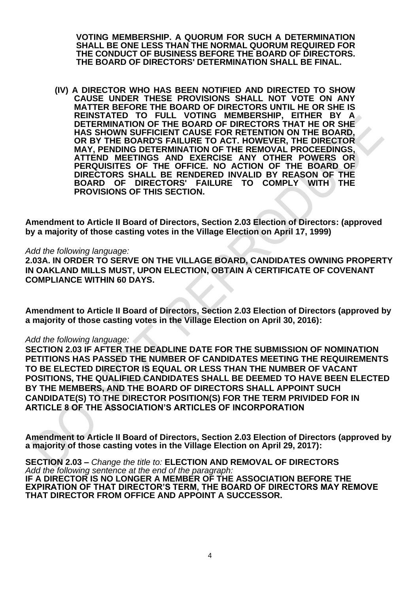**VOTING MEMBERSHIP. A QUORUM FOR SUCH A DETERMINATION SHALL BE ONE LESS THAN THE NORMAL QUORUM REQUIRED FOR THE CONDUCT OF BUSINESS BEFORE THE BOARD OF DIRECTORS. THE BOARD OF DIRECTORS' DETERMINATION SHALL BE FINAL.**

**(IV) A DIRECTOR WHO HAS BEEN NOTIFIED AND DIRECTED TO SHOW CAUSE UNDER THESE PROVISIONS SHALL NOT VOTE ON ANY MATTER BEFORE THE BOARD OF DIRECTORS UNTIL HE OR SHE IS REINSTATED TO FULL VOTING MEMBERSHIP, EITHER BY A DETERMINATION OF THE BOARD OF DIRECTORS THAT HE OR SHE HAS SHOWN SUFFICIENT CAUSE FOR RETENTION ON THE BOARD, OR BY THE BOARD'S FAILURE TO ACT. HOWEVER, THE DIRECTOR MAY, PENDING DETERMINATION OF THE REMOVAL PROCEEDINGS, ATTEND MEETINGS AND EXERCISE ANY OTHER POWERS OR PERQUISITES OF THE OFFICE. NO ACTION OF THE BOARD OF DIRECTORS SHALL BE RENDERED INVALID BY REASON OF THE BOARD OF DIRECTORS' FAILURE TO COMPLY PROVISIONS OF THIS SECTION.**

**Amendment to Article II Board of Directors, Section 2.03 Election of Directors: (approved by a majority of those casting votes in the Village Election on April 17, 1999)**

*Add the following language:*

**2.03A. IN ORDER TO SERVE ON THE VILLAGE BOARD, CANDIDATES OWNING PROPERTY IN OAKLAND MILLS MUST, UPON ELECTION, OBTAIN A CERTIFICATE OF COVENANT COMPLIANCE WITHIN 60 DAYS.**

**Amendment to Article II Board of Directors, Section 2.03 Election of Directors (approved by a majority of those casting votes in the Village Election on April 30, 2016):**

### *Add the following language:*

**SECTION 2.03 IF AFTER THE DEADLINE DATE FOR THE SUBMISSION OF NOMINATION PETITIONS HAS PASSED THE NUMBER OF CANDIDATES MEETING THE REQUIREMENTS TO BE ELECTED DIRECTOR IS EQUAL OR LESS THAN THE NUMBER OF VACANT POSITIONS, THE QUALIFIED CANDIDATES SHALL BE DEEMED TO HAVE BEEN ELECTED BY THE MEMBERS, AND THE BOARD OF DIRECTORS SHALL APPOINT SUCH CANDIDATE(S) TO THE DIRECTOR POSITION(S) FOR THE TERM PRIVIDED FOR IN ARTICLE 8 OF THE ASSOCIATION'S ARTICLES OF INCORPORATION**

**Amendment to Article II Board of Directors, Section 2.03 Election of Directors (approved by a majority of those casting votes in the Village Election on April 29, 2017):**

**SECTION 2.03 –** *Change the title to:* **ELECTION AND REMOVAL OF DIRECTORS** *Add the following sentence at the end of the paragraph:* **IF A DIRECTOR IS NO LONGER A MEMBER OF THE ASSOCIATION BEFORE THE EXPIRATION OF THAT DIRECTOR'S TERM, THE BOARD OF DIRECTORS MAY REMOVE THAT DIRECTOR FROM OFFICE AND APPOINT A SUCCESSOR.**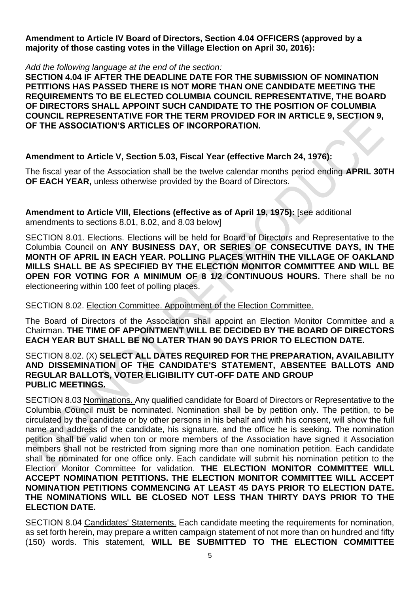**Amendment to Article IV Board of Directors, Section 4.04 OFFICERS (approved by a majority of those casting votes in the Village Election on April 30, 2016):**

*Add the following language at the end of the section:*

**SECTION 4.04 IF AFTER THE DEADLINE DATE FOR THE SUBMISSION OF NOMINATION PETITIONS HAS PASSED THERE IS NOT MORE THAN ONE CANDIDATE MEETING THE REQUIREMENTS TO BE ELECTED COLUMBIA COUNCIL REPRESENTATIVE, THE BOARD OF DIRECTORS SHALL APPOINT SUCH CANDIDATE TO THE POSITION OF COLUMBIA COUNCIL REPRESENTATIVE FOR THE TERM PROVIDED FOR IN ARTICLE 9, SECTION 9, OF THE ASSOCIATION'S ARTICLES OF INCORPORATION.**

## **Amendment to Article V, Section 5.03, Fiscal Year (effective March 24, 1976):**

The fiscal year of the Association shall be the twelve calendar months period ending **APRIL 30TH OF EACH YEAR,** unless otherwise provided by the Board of Directors.

**Amendment to Article VIII, Elections (effective as of April 19, 1975):** [see additional amendments to sections 8.01, 8.02, and 8.03 below]

SECTION 8.01. Elections. Elections will be held for Board of Directors and Representative to the Columbia Council on **ANY BUSINESS DAY, OR SERIES OF CONSECUTIVE DAYS, IN THE MONTH OF APRIL IN EACH YEAR. POLLING PLACES WITHIN THE VILLAGE OF OAKLAND MILLS SHALL BE AS SPECIFIED BY THE ELECTION MONITOR COMMITTEE AND WILL BE OPEN FOR VOTING FOR A MINIMUM OF 8 1/2 CONTINUOUS HOURS.** There shall be no electioneering within 100 feet of polling places.

## SECTION 8.02. Election Committee. Appointment of the Election Committee.

The Board of Directors of the Association shall appoint an Election Monitor Committee and a Chairman. **THE TIME OF APPOINTMENT WILL BE DECIDED BY THE BOARD OF DIRECTORS EACH YEAR BUT SHALL BE NO LATER THAN 90 DAYS PRIOR TO ELECTION DATE.**

### SECTION 8.02. (X) **SELECT ALL DATES REQUIRED FOR THE PREPARATION, AVAILABILITY AND DISSEMINATION OF THE CANDIDATE'S STATEMENT, ABSENTEE BALLOTS AND REGULAR BALLOTS, VOTER ELIGIBILITY CUT-OFF DATE AND GROUP PUBLIC MEETINGS.**

SECTION 8.03 Nominations. Any qualified candidate for Board of Directors or Representative to the Columbia Council must be nominated. Nomination shall be by petition only. The petition, to be circulated by the candidate or by other persons in his behalf and with his consent, will show the full name and address of the candidate, his signature, and the office he is seeking. The nomination petition shall be valid when ton or more members of the Association have signed it Association members shall not be restricted from signing more than one nomination petition. Each candidate shall be nominated for one office only. Each candidate will submit his nomination petition to the Election Monitor Committee for validation. **THE ELECTION MONITOR COMMITTEE WILL ACCEPT NOMINATION PETITIONS. THE ELECTION MONITOR COMMITTEE WILL ACCEPT NOMINATION PETITIONS COMMENCING AT LEAST 45 DAYS PRIOR TO ELECTION DATE. THE NOMINATIONS WILL BE CLOSED NOT LESS THAN THIRTY DAYS PRIOR TO THE ELECTION DATE.**

SECTION 8.04 Candidates' Statements. Each candidate meeting the requirements for nomination, as set forth herein, may prepare a written campaign statement of not more than on hundred and fifty (150) words. This statement, **WILL BE SUBMITTED TO THE ELECTION COMMITTEE**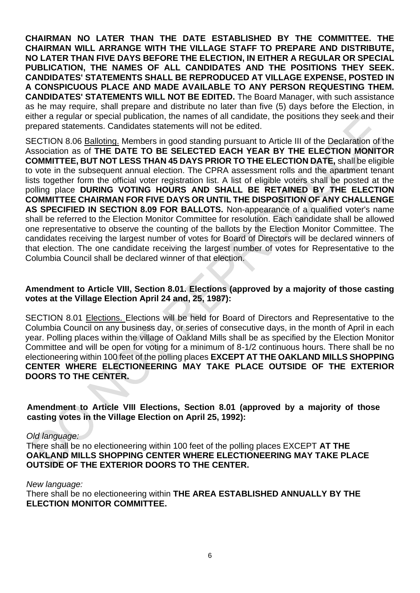**CHAIRMAN NO LATER THAN THE DATE ESTABLISHED BY THE COMMITTEE. THE CHAIRMAN WILL ARRANGE WITH THE VILLAGE STAFF TO PREPARE AND DISTRIBUTE, NO LATER THAN FIVE DAYS BEFORE THE ELECTION, IN EITHER A REGULAR OR SPECIAL PUBLICATION, THE NAMES OF ALL CANDIDATES AND THE POSITIONS THEY SEEK. CANDIDATES' STATEMENTS SHALL BE REPRODUCED AT VILLAGE EXPENSE, POSTED IN A CONSPICUOUS PLACE AND MADE AVAILABLE TO ANY PERSON REQUESTING THEM. CANDIDATES' STATEMENTS WILL NOT BE EDITED.** The Board Manager, with such assistance as he may require, shall prepare and distribute no later than five (5) days before the Election, in either a regular or special publication, the names of all candidate, the positions they seek and their prepared statements. Candidates statements will not be edited.

SECTION 8.06 Balloting. Members in good standing pursuant to Article III of the Declaration of the Association as of **THE DATE TO BE SELECTED EACH YEAR BY THE ELECTION MONITOR COMMITTEE, BUT NOT LESS THAN 45 DAYS PRIOR TO THE ELECTION DATE,** shall be eligible to vote in the subsequent annual election. The CPRA assessment rolls and the apartment tenant lists together form the official voter registration list. A list of eligible voters shall be posted at the polling place **DURING VOTING HOURS AND SHALL BE RETAINED BY THE ELECTION COMMITTEE CHAIRMAN FOR FIVE DAYS OR UNTIL THE DISPOSITION OF ANY CHALLENGE AS SPECIFIED IN SECTION 8.09 FOR BALLOTS.** Non-appearance of a qualified voter's name shall be referred to the Election Monitor Committee for resolution. Each candidate shall be allowed one representative to observe the counting of the ballots by the Election Monitor Committee. The candidates receiving the largest number of votes for Board of Directors will be declared winners of that election. The one candidate receiving the largest number of votes for Representative to the Columbia Council shall be declared winner of that election.

### **Amendment to Article VIII, Section 8.01. Elections (approved by a majority of those casting votes at the Village Election April 24 and, 25, 1987):**

SECTION 8.01 Elections. Elections will be held for Board of Directors and Representative to the Columbia Council on any business day, or series of consecutive days, in the month of April in each year. Polling places within the village of Oakland Mills shall be as specified by the Election Monitor Committee and will be open for voting for a minimum of 8-1/2 continuous hours. There shall be no electioneering within 100 feet of the polling places **EXCEPT AT THE OAKLAND MILLS SHOPPING CENTER WHERE ELECTIONEERING MAY TAKE PLACE OUTSIDE OF THE EXTERIOR DOORS TO THE CENTER.**

**Amendment to Article VIII Elections, Section 8.01 (approved by a majority of those casting votes in the Village Election on April 25, 1992):**

### *Old language:*

There shall be no electioneering within 100 feet of the polling places EXCEPT **AT THE OAKLAND MILLS SHOPPING CENTER WHERE ELECTIONEERING MAY TAKE PLACE OUTSIDE OF THE EXTERIOR DOORS TO THE CENTER.**

### *New language:*

There shall be no electioneering within **THE AREA ESTABLISHED ANNUALLY BY THE ELECTION MONITOR COMMITTEE.**